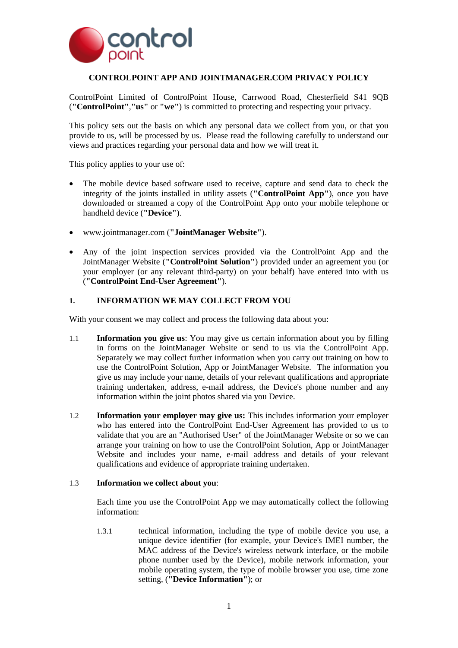

# **CONTROLPOINT APP AND JOINTMANAGER.COM PRIVACY POLICY**

ControlPoint Limited of ControlPoint House, Carrwood Road, Chesterfield S41 9QB (**"ControlPoint"**,**"us"** or **"we"**) is committed to protecting and respecting your privacy.

This policy sets out the basis on which any personal data we collect from you, or that you provide to us, will be processed by us. Please read the following carefully to understand our views and practices regarding your personal data and how we will treat it.

This policy applies to your use of:

- The mobile device based software used to receive, capture and send data to check the integrity of the joints installed in utility assets (**"ControlPoint App"**), once you have downloaded or streamed a copy of the ControlPoint App onto your mobile telephone or handheld device (**"Device"**).
- www.jointmanager.com (**"JointManager Website"**).
- Any of the joint inspection services provided via the ControlPoint App and the JointManager Website (**"ControlPoint Solution"**) provided under an agreement you (or your employer (or any relevant third-party) on your behalf) have entered into with us (**"ControlPoint End-User Agreement"**).

### **1. INFORMATION WE MAY COLLECT FROM YOU**

With your consent we may collect and process the following data about you:

- 1.1 **Information you give us**: You may give us certain information about you by filling in forms on the JointManager Website or send to us via the ControlPoint App. Separately we may collect further information when you carry out training on how to use the ControlPoint Solution, App or JointManager Website. The information you give us may include your name, details of your relevant qualifications and appropriate training undertaken, address, e-mail address, the Device's phone number and any information within the joint photos shared via you Device.
- 1.2 **Information your employer may give us:** This includes information your employer who has entered into the ControlPoint End-User Agreement has provided to us to validate that you are an "Authorised User" of the JointManager Website or so we can arrange your training on how to use the ControlPoint Solution, App or JointManager Website and includes your name, e-mail address and details of your relevant qualifications and evidence of appropriate training undertaken.

#### 1.3 **Information we collect about you**:

Each time you use the ControlPoint App we may automatically collect the following information:

1.3.1 technical information, including the type of mobile device you use, a unique device identifier (for example, your Device's IMEI number, the MAC address of the Device's wireless network interface, or the mobile phone number used by the Device), mobile network information, your mobile operating system, the type of mobile browser you use, time zone setting, (**"Device Information"**); or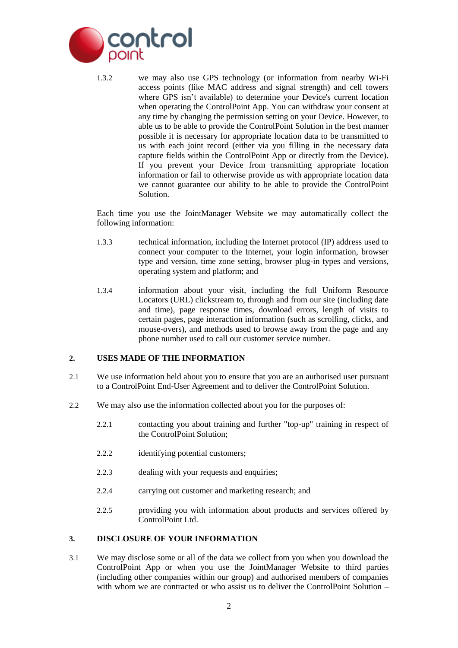

1.3.2 we may also use GPS technology (or information from nearby Wi-Fi access points (like MAC address and signal strength) and cell towers where GPS isn't available) to determine your Device's current location when operating the ControlPoint App. You can withdraw your consent at any time by changing the permission setting on your Device. However, to able us to be able to provide the ControlPoint Solution in the best manner possible it is necessary for appropriate location data to be transmitted to us with each joint record (either via you filling in the necessary data capture fields within the ControlPoint App or directly from the Device). If you prevent your Device from transmitting appropriate location information or fail to otherwise provide us with appropriate location data we cannot guarantee our ability to be able to provide the ControlPoint Solution.

Each time you use the JointManager Website we may automatically collect the following information:

- 1.3.3 technical information, including the Internet protocol (IP) address used to connect your computer to the Internet, your login information, browser type and version, time zone setting, browser plug-in types and versions, operating system and platform; and
- 1.3.4 information about your visit, including the full Uniform Resource Locators (URL) clickstream to, through and from our site (including date and time), page response times, download errors, length of visits to certain pages, page interaction information (such as scrolling, clicks, and mouse-overs), and methods used to browse away from the page and any phone number used to call our customer service number.

## **2. USES MADE OF THE INFORMATION**

- 2.1 We use information held about you to ensure that you are an authorised user pursuant to a ControlPoint End-User Agreement and to deliver the ControlPoint Solution.
- 2.2 We may also use the information collected about you for the purposes of:
	- 2.2.1 contacting you about training and further "top-up" training in respect of the ControlPoint Solution;
	- 2.2.2 identifying potential customers;
	- 2.2.3 dealing with your requests and enquiries;
	- 2.2.4 carrying out customer and marketing research; and
	- 2.2.5 providing you with information about products and services offered by ControlPoint Ltd.

#### **3. DISCLOSURE OF YOUR INFORMATION**

3.1 We may disclose some or all of the data we collect from you when you download the ControlPoint App or when you use the JointManager Website to third parties (including other companies within our group) and authorised members of companies with whom we are contracted or who assist us to deliver the ControlPoint Solution –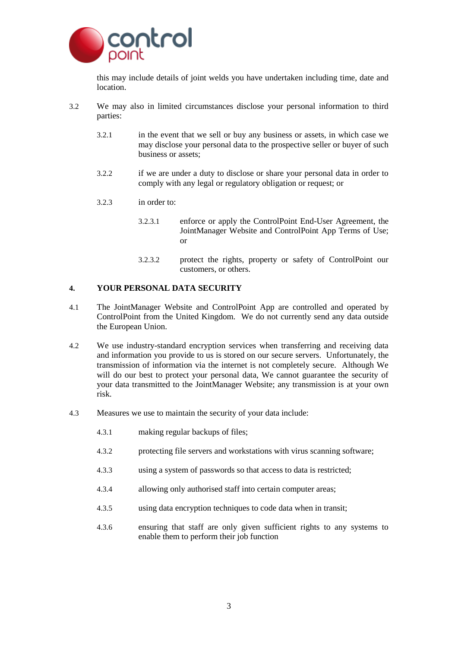

this may include details of joint welds you have undertaken including time, date and location.

- 3.2 We may also in limited circumstances disclose your personal information to third parties:
	- 3.2.1 in the event that we sell or buy any business or assets, in which case we may disclose your personal data to the prospective seller or buyer of such business or assets;
	- 3.2.2 if we are under a duty to disclose or share your personal data in order to comply with any legal or regulatory obligation or request; or
	- 3.2.3 in order to:
		- 3.2.3.1 enforce or apply the ControlPoint End-User Agreement, the JointManager Website and ControlPoint App Terms of Use; or
		- 3.2.3.2 protect the rights, property or safety of ControlPoint our customers, or others.

### **4. YOUR PERSONAL DATA SECURITY**

- 4.1 The JointManager Website and ControlPoint App are controlled and operated by ControlPoint from the United Kingdom. We do not currently send any data outside the European Union.
- 4.2 We use industry-standard encryption services when transferring and receiving data and information you provide to us is stored on our secure servers. Unfortunately, the transmission of information via the internet is not completely secure. Although We will do our best to protect your personal data, We cannot guarantee the security of your data transmitted to the JointManager Website; any transmission is at your own risk.
- 4.3 Measures we use to maintain the security of your data include:
	- 4.3.1 making regular backups of files;
	- 4.3.2 protecting file servers and workstations with virus scanning software;
	- 4.3.3 using a system of passwords so that access to data is restricted;
	- 4.3.4 allowing only authorised staff into certain computer areas;
	- 4.3.5 using data encryption techniques to code data when in transit;
	- 4.3.6 ensuring that staff are only given sufficient rights to any systems to enable them to perform their job function